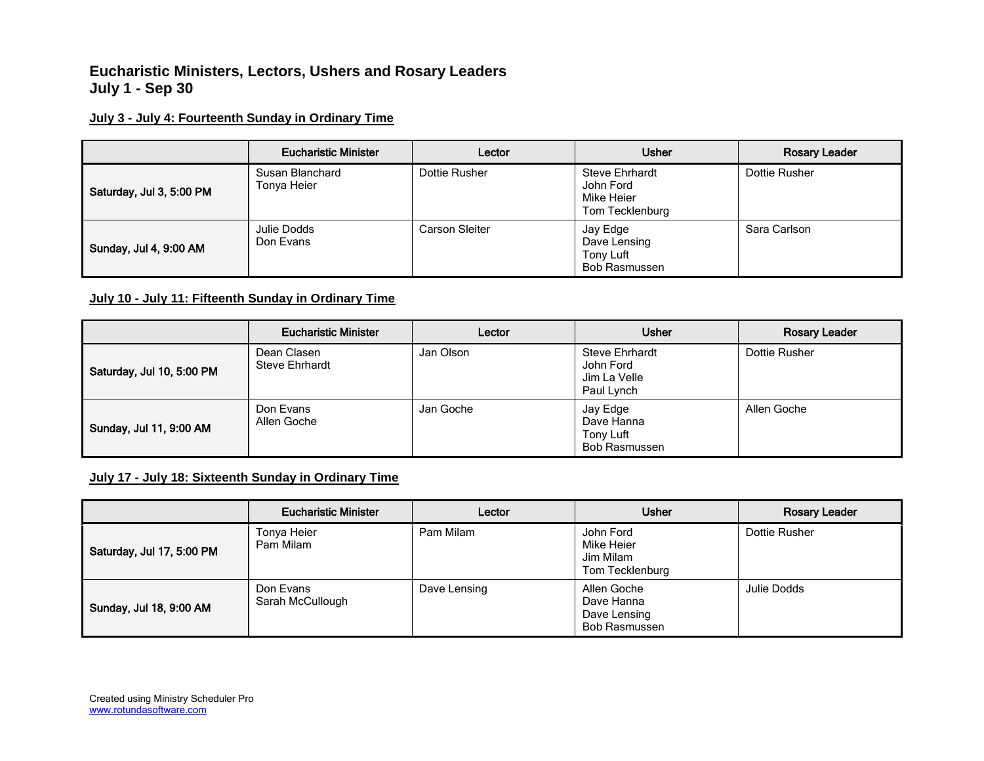# **Eucharistic Ministers, Lectors, Ushers and Rosary Leaders July 1 - Sep 30**

### **July 3 - July 4: Fourteenth Sunday in Ordinary Time**

|                          | <b>Eucharistic Minister</b>    | Lector         | <b>Usher</b>                                                        | <b>Rosary Leader</b> |
|--------------------------|--------------------------------|----------------|---------------------------------------------------------------------|----------------------|
| Saturday, Jul 3, 5:00 PM | Susan Blanchard<br>Tonya Heier | Dottie Rusher  | <b>Steve Ehrhardt</b><br>John Ford<br>Mike Heier<br>Tom Tecklenburg | Dottie Rusher        |
| Sunday, Jul 4, 9:00 AM   | Julie Dodds<br>Don Evans       | Carson Sleiter | Jay Edge<br>Dave Lensing<br>Tony Luft<br>Bob Rasmussen              | Sara Carlson         |

#### **July 10 - July 11: Fifteenth Sunday in Ordinary Time**

|                           | <b>Eucharistic Minister</b>          | Lector    | <b>Usher</b>                                                     | <b>Rosary Leader</b> |
|---------------------------|--------------------------------------|-----------|------------------------------------------------------------------|----------------------|
| Saturday, Jul 10, 5:00 PM | Dean Clasen<br><b>Steve Ehrhardt</b> | Jan Olson | <b>Steve Ehrhardt</b><br>John Ford<br>Jim La Velle<br>Paul Lynch | Dottie Rusher        |
| Sunday, Jul 11, 9:00 AM   | Don Evans<br>Allen Goche             | Jan Goche | Jay Edge<br>Dave Hanna<br>Tony Luft<br>Bob Rasmussen             | Allen Goche          |

### **July 17 - July 18: Sixteenth Sunday in Ordinary Time**

|                           | <b>Eucharistic Minister</b>   | Lector       | <b>Usher</b>                                                      | <b>Rosary Leader</b> |
|---------------------------|-------------------------------|--------------|-------------------------------------------------------------------|----------------------|
| Saturday, Jul 17, 5:00 PM | Tonya Heier<br>Pam Milam      | Pam Milam    | John Ford<br>Mike Heier<br>Jim Milam<br>Tom Tecklenburg           | Dottie Rusher        |
| Sunday, Jul 18, 9:00 AM   | Don Evans<br>Sarah McCullough | Dave Lensing | Allen Goche<br>Dave Hanna<br>Dave Lensing<br><b>Bob Rasmussen</b> | Julie Dodds          |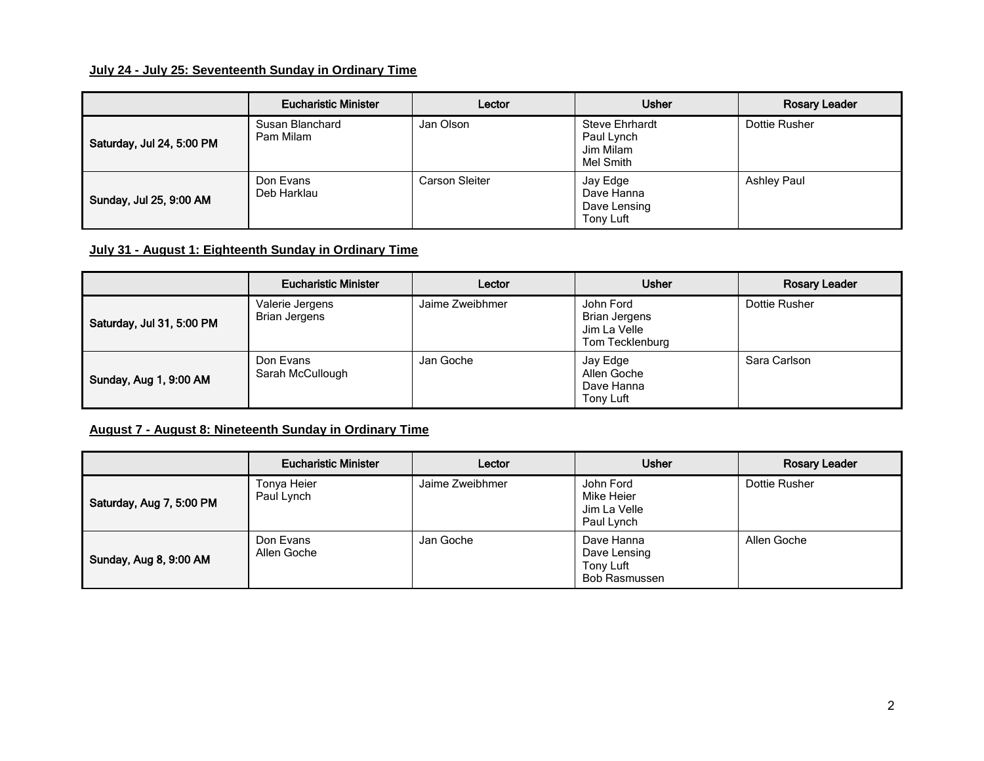### **July 24 - July 25: Seventeenth Sunday in Ordinary Time**

|                           | <b>Eucharistic Minister</b>  | Lector         | <b>Usher</b>                                                  | <b>Rosary Leader</b> |
|---------------------------|------------------------------|----------------|---------------------------------------------------------------|----------------------|
| Saturday, Jul 24, 5:00 PM | Susan Blanchard<br>Pam Milam | Jan Olson      | <b>Steve Ehrhardt</b><br>Paul Lynch<br>Jim Milam<br>Mel Smith | Dottie Rusher        |
| Sunday, Jul 25, 9:00 AM   | Don Evans<br>Deb Harklau     | Carson Sleiter | Jay Edge<br>Dave Hanna<br>Dave Lensing<br>Tony Luft           | <b>Ashley Paul</b>   |

### **July 31 - August 1: Eighteenth Sunday in Ordinary Time**

|                           | <b>Eucharistic Minister</b>      | Lector          | <b>Usher</b>                                                         | <b>Rosary Leader</b> |
|---------------------------|----------------------------------|-----------------|----------------------------------------------------------------------|----------------------|
| Saturday, Jul 31, 5:00 PM | Valerie Jergens<br>Brian Jergens | Jaime Zweibhmer | John Ford<br><b>Brian Jergens</b><br>Jim La Velle<br>Tom Tecklenburg | Dottie Rusher        |
| Sunday, Aug 1, 9:00 AM    | Don Evans<br>Sarah McCullough    | Jan Goche       | Jay Edge<br>Allen Goche<br>Dave Hanna<br>Tony Luft                   | Sara Carlson         |

## **August 7 - August 8: Nineteenth Sunday in Ordinary Time**

|                          | <b>Eucharistic Minister</b> | Lector          | <b>Usher</b>                                                    | <b>Rosary Leader</b> |
|--------------------------|-----------------------------|-----------------|-----------------------------------------------------------------|----------------------|
| Saturday, Aug 7, 5:00 PM | Tonya Heier<br>Paul Lynch   | Jaime Zweibhmer | John Ford<br>Mike Heier<br>Jim La Velle<br>Paul Lynch           | Dottie Rusher        |
| Sunday, Aug 8, 9:00 AM   | Don Evans<br>Allen Goche    | Jan Goche       | Dave Hanna<br>Dave Lensing<br>Tony Luft<br><b>Bob Rasmussen</b> | Allen Goche          |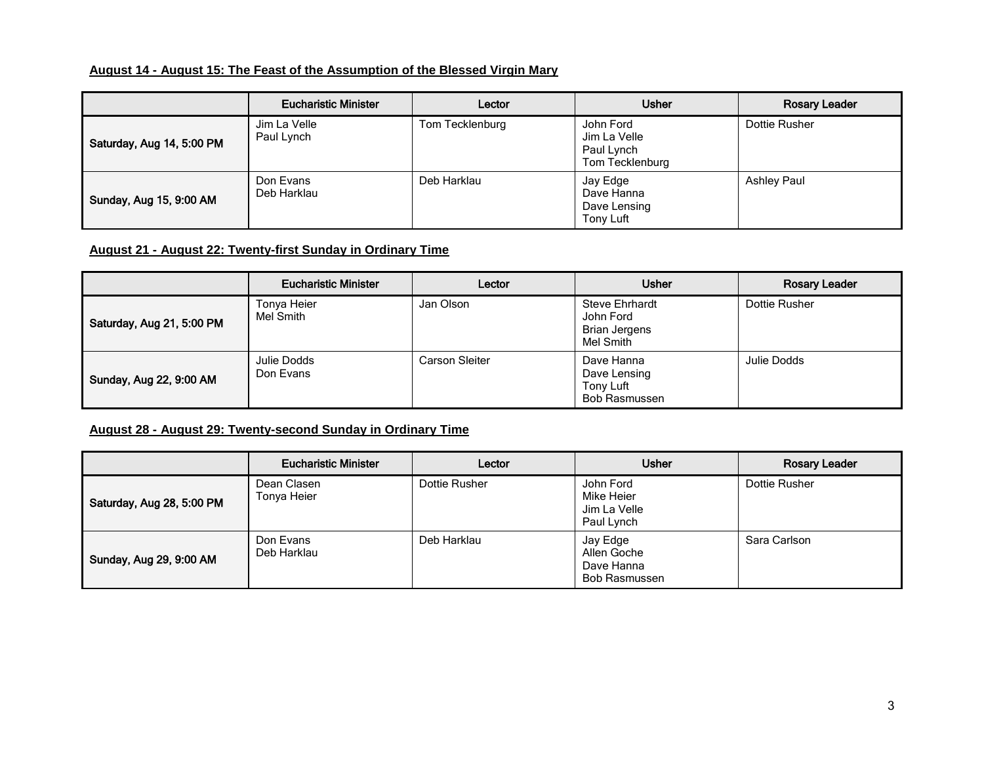### **August 14 - August 15: The Feast of the Assumption of the Blessed Virgin Mary**

|                           | <b>Eucharistic Minister</b> | Lector          | <b>Usher</b>                                               | <b>Rosary Leader</b> |
|---------------------------|-----------------------------|-----------------|------------------------------------------------------------|----------------------|
| Saturday, Aug 14, 5:00 PM | Jim La Velle<br>Paul Lynch  | Tom Tecklenburg | John Ford<br>Jim La Velle<br>Paul Lynch<br>Tom Tecklenburg | Dottie Rusher        |
| Sunday, Aug 15, 9:00 AM   | Don Evans<br>Deb Harklau    | Deb Harklau     | Jay Edge<br>Dave Hanna<br>Dave Lensing<br>Tony Luft        | <b>Ashley Paul</b>   |

### **August 21 - August 22: Twenty-first Sunday in Ordinary Time**

|                           | <b>Eucharistic Minister</b> | Lector         | <b>Usher</b>                                                            | Rosary Leader |
|---------------------------|-----------------------------|----------------|-------------------------------------------------------------------------|---------------|
| Saturday, Aug 21, 5:00 PM | Tonya Heier<br>Mel Smith    | Jan Olson      | <b>Steve Ehrhardt</b><br>John Ford<br><b>Brian Jergens</b><br>Mel Smith | Dottie Rusher |
| Sunday, Aug 22, 9:00 AM   | Julie Dodds<br>Don Evans    | Carson Sleiter | Dave Hanna<br>Dave Lensing<br>Tony Luft<br>Bob Rasmussen                | Julie Dodds   |

## **August 28 - August 29: Twenty-second Sunday in Ordinary Time**

|                           | <b>Eucharistic Minister</b> | Lector        | <b>Usher</b>                                           | <b>Rosary Leader</b> |
|---------------------------|-----------------------------|---------------|--------------------------------------------------------|----------------------|
| Saturday, Aug 28, 5:00 PM | Dean Clasen<br>Tonya Heier  | Dottie Rusher | John Ford<br>Mike Heier<br>Jim La Velle<br>Paul Lynch  | Dottie Rusher        |
| Sunday, Aug 29, 9:00 AM   | Don Evans<br>Deb Harklau    | Deb Harklau   | Jay Edge<br>Allen Goche<br>Dave Hanna<br>Bob Rasmussen | Sara Carlson         |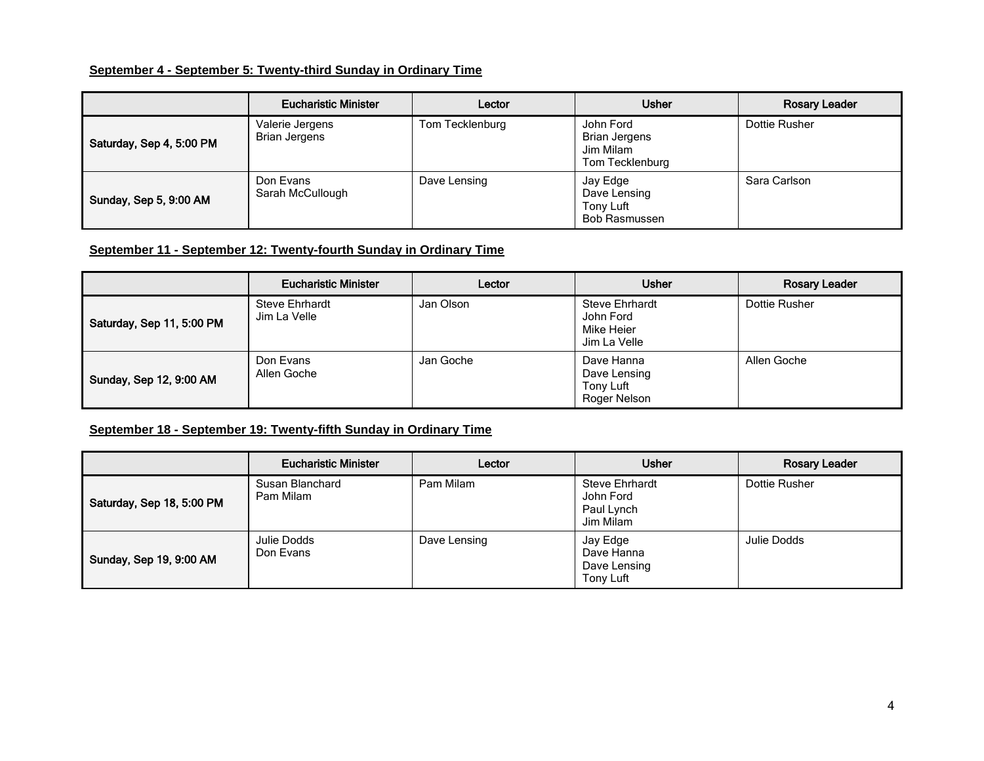#### **September 4 - September 5: Twenty-third Sunday in Ordinary Time**

|                          | <b>Eucharistic Minister</b>             | Lector          | <b>Usher</b>                                                      | <b>Rosary Leader</b> |
|--------------------------|-----------------------------------------|-----------------|-------------------------------------------------------------------|----------------------|
| Saturday, Sep 4, 5:00 PM | Valerie Jergens<br><b>Brian Jergens</b> | Tom Tecklenburg | John Ford<br><b>Brian Jergens</b><br>Jim Milam<br>Tom Tecklenburg | Dottie Rusher        |
| Sunday, Sep 5, 9:00 AM   | Don Evans<br>Sarah McCullough           | Dave Lensing    | Jay Edge<br>Dave Lensing<br>Tony Luft<br>Bob Rasmussen            | Sara Carlson         |

#### **September 11 - September 12: Twenty-fourth Sunday in Ordinary Time**

|                           | <b>Eucharistic Minister</b>           | Lector    | <b>Usher</b>                                                     | <b>Rosary Leader</b> |
|---------------------------|---------------------------------------|-----------|------------------------------------------------------------------|----------------------|
| Saturday, Sep 11, 5:00 PM | <b>Steve Ehrhardt</b><br>Jim La Velle | Jan Olson | <b>Steve Ehrhardt</b><br>John Ford<br>Mike Heier<br>Jim La Velle | Dottie Rusher        |
| Sunday, Sep 12, 9:00 AM   | Don Evans<br>Allen Goche              | Jan Goche | Dave Hanna<br>Dave Lensing<br>Tony Luft<br>Roger Nelson          | Allen Goche          |

### **September 18 - September 19: Twenty-fifth Sunday in Ordinary Time**

|                           | <b>Eucharistic Minister</b>  | Lector       | <b>Usher</b>                                                  | <b>Rosary Leader</b> |
|---------------------------|------------------------------|--------------|---------------------------------------------------------------|----------------------|
| Saturday, Sep 18, 5:00 PM | Susan Blanchard<br>Pam Milam | Pam Milam    | <b>Steve Ehrhardt</b><br>John Ford<br>Paul Lynch<br>Jim Milam | Dottie Rusher        |
| Sunday, Sep 19, 9:00 AM   | Julie Dodds<br>Don Evans     | Dave Lensing | Jay Edge<br>Dave Hanna<br>Dave Lensing<br>Tony Luft           | Julie Dodds          |